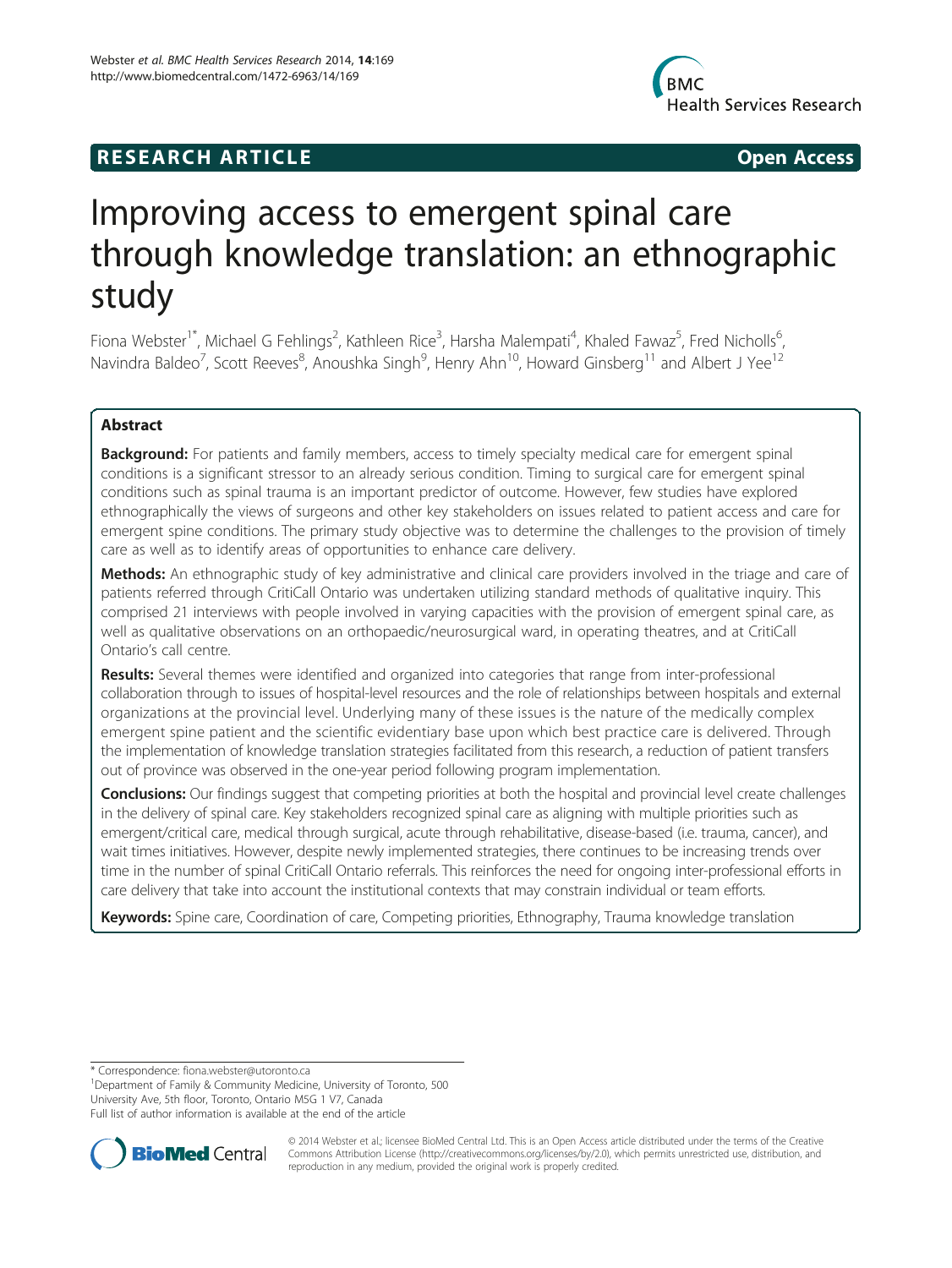



# Improving access to emergent spinal care through knowledge translation: an ethnographic study

Fiona Webster<sup>1\*</sup>, Michael G Fehlings<sup>2</sup>, Kathleen Rice<sup>3</sup>, Harsha Malempati<sup>4</sup>, Khaled Fawaz<sup>5</sup>, Fred Nicholls<sup>6</sup> , Navindra Baldeo<sup>7</sup>, Scott Reeves<sup>8</sup>, Anoushka Singh<sup>9</sup>, Henry Ahn<sup>10</sup>, Howard Ginsberg<sup>11</sup> and Albert J Yee<sup>12</sup>

## Abstract

Background: For patients and family members, access to timely specialty medical care for emergent spinal conditions is a significant stressor to an already serious condition. Timing to surgical care for emergent spinal conditions such as spinal trauma is an important predictor of outcome. However, few studies have explored ethnographically the views of surgeons and other key stakeholders on issues related to patient access and care for emergent spine conditions. The primary study objective was to determine the challenges to the provision of timely care as well as to identify areas of opportunities to enhance care delivery.

Methods: An ethnographic study of key administrative and clinical care providers involved in the triage and care of patients referred through CritiCall Ontario was undertaken utilizing standard methods of qualitative inquiry. This comprised 21 interviews with people involved in varying capacities with the provision of emergent spinal care, as well as qualitative observations on an orthopaedic/neurosurgical ward, in operating theatres, and at CritiCall Ontario's call centre.

Results: Several themes were identified and organized into categories that range from inter-professional collaboration through to issues of hospital-level resources and the role of relationships between hospitals and external organizations at the provincial level. Underlying many of these issues is the nature of the medically complex emergent spine patient and the scientific evidentiary base upon which best practice care is delivered. Through the implementation of knowledge translation strategies facilitated from this research, a reduction of patient transfers out of province was observed in the one-year period following program implementation.

**Conclusions:** Our findings suggest that competing priorities at both the hospital and provincial level create challenges in the delivery of spinal care. Key stakeholders recognized spinal care as aligning with multiple priorities such as emergent/critical care, medical through surgical, acute through rehabilitative, disease-based (i.e. trauma, cancer), and wait times initiatives. However, despite newly implemented strategies, there continues to be increasing trends over time in the number of spinal CritiCall Ontario referrals. This reinforces the need for ongoing inter-professional efforts in care delivery that take into account the institutional contexts that may constrain individual or team efforts.

Keywords: Spine care, Coordination of care, Competing priorities, Ethnography, Trauma knowledge translation

<sup>1</sup>Department of Family & Community Medicine, University of Toronto, 500 University Ave, 5th floor, Toronto, Ontario M5G 1 V7, Canada Full list of author information is available at the end of the article



© 2014 Webster et al.; licensee BioMed Central Ltd. This is an Open Access article distributed under the terms of the Creative Commons Attribution License [\(http://creativecommons.org/licenses/by/2.0\)](http://creativecommons.org/licenses/by/2.0), which permits unrestricted use, distribution, and reproduction in any medium, provided the original work is properly credited.

<sup>\*</sup> Correspondence: [fiona.webster@utoronto.ca](mailto:fiona.webster@utoronto.ca) <sup>1</sup>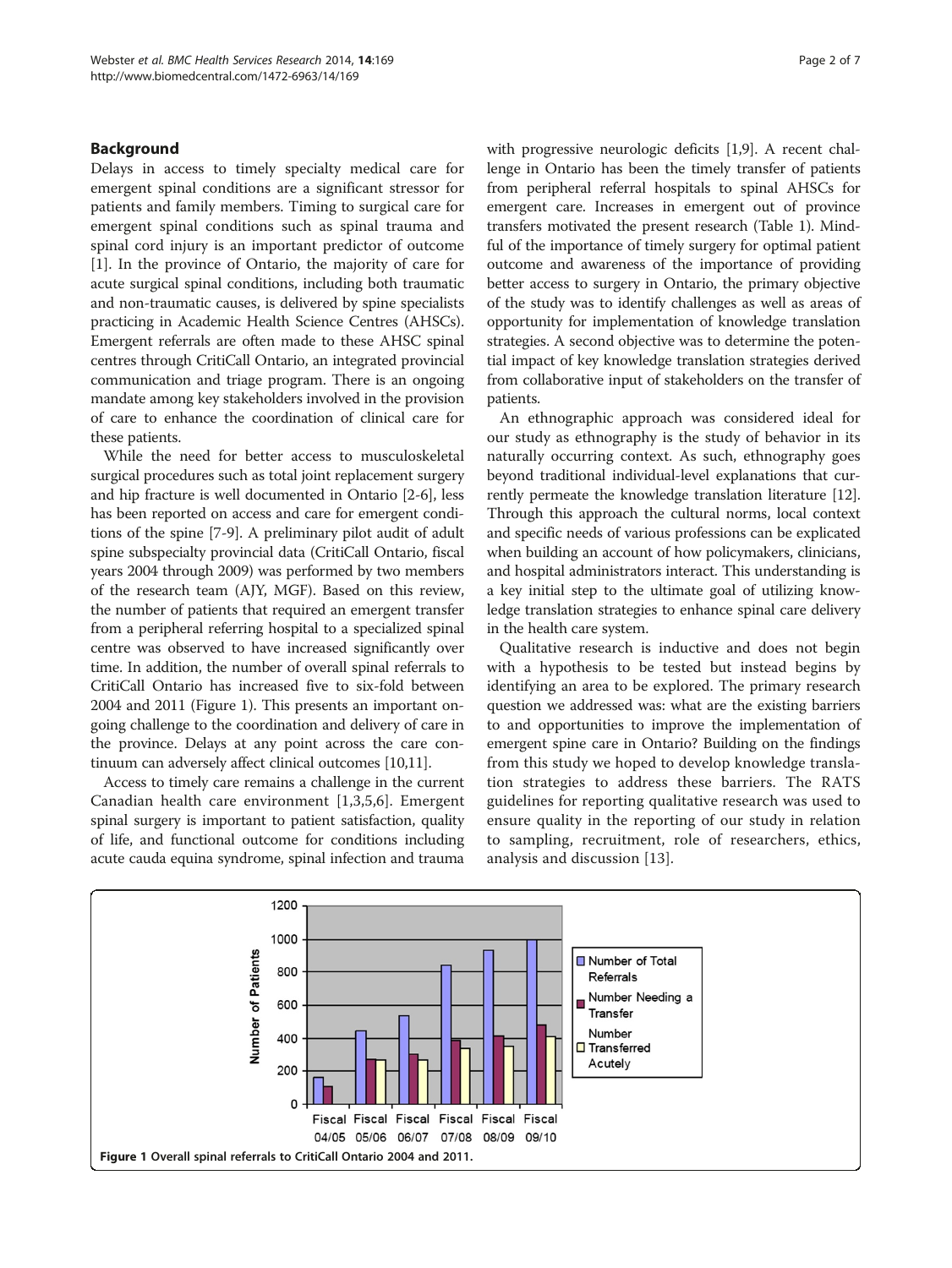## Background

Delays in access to timely specialty medical care for emergent spinal conditions are a significant stressor for patients and family members. Timing to surgical care for emergent spinal conditions such as spinal trauma and spinal cord injury is an important predictor of outcome [[1\]](#page-6-0). In the province of Ontario, the majority of care for acute surgical spinal conditions, including both traumatic and non-traumatic causes, is delivered by spine specialists practicing in Academic Health Science Centres (AHSCs). Emergent referrals are often made to these AHSC spinal centres through CritiCall Ontario, an integrated provincial communication and triage program. There is an ongoing mandate among key stakeholders involved in the provision of care to enhance the coordination of clinical care for these patients.

While the need for better access to musculoskeletal surgical procedures such as total joint replacement surgery and hip fracture is well documented in Ontario [[2-6\]](#page-6-0), less has been reported on access and care for emergent conditions of the spine [[7-9\]](#page-6-0). A preliminary pilot audit of adult spine subspecialty provincial data (CritiCall Ontario, fiscal years 2004 through 2009) was performed by two members of the research team (AJY, MGF). Based on this review, the number of patients that required an emergent transfer from a peripheral referring hospital to a specialized spinal centre was observed to have increased significantly over time. In addition, the number of overall spinal referrals to CritiCall Ontario has increased five to six-fold between 2004 and 2011 (Figure 1). This presents an important ongoing challenge to the coordination and delivery of care in the province. Delays at any point across the care continuum can adversely affect clinical outcomes [[10,11\]](#page-6-0).

Access to timely care remains a challenge in the current Canadian health care environment [[1,3,5,6](#page-6-0)]. Emergent spinal surgery is important to patient satisfaction, quality of life, and functional outcome for conditions including acute cauda equina syndrome, spinal infection and trauma with progressive neurologic deficits [\[1,9](#page-6-0)]. A recent challenge in Ontario has been the timely transfer of patients from peripheral referral hospitals to spinal AHSCs for emergent care. Increases in emergent out of province transfers motivated the present research (Table [1\)](#page-2-0). Mindful of the importance of timely surgery for optimal patient outcome and awareness of the importance of providing better access to surgery in Ontario, the primary objective of the study was to identify challenges as well as areas of opportunity for implementation of knowledge translation strategies. A second objective was to determine the potential impact of key knowledge translation strategies derived from collaborative input of stakeholders on the transfer of patients.

An ethnographic approach was considered ideal for our study as ethnography is the study of behavior in its naturally occurring context. As such, ethnography goes beyond traditional individual-level explanations that currently permeate the knowledge translation literature [[12](#page-6-0)]. Through this approach the cultural norms, local context and specific needs of various professions can be explicated when building an account of how policymakers, clinicians, and hospital administrators interact. This understanding is a key initial step to the ultimate goal of utilizing knowledge translation strategies to enhance spinal care delivery in the health care system.

Qualitative research is inductive and does not begin with a hypothesis to be tested but instead begins by identifying an area to be explored. The primary research question we addressed was: what are the existing barriers to and opportunities to improve the implementation of emergent spine care in Ontario? Building on the findings from this study we hoped to develop knowledge translation strategies to address these barriers. The RATS guidelines for reporting qualitative research was used to ensure quality in the reporting of our study in relation to sampling, recruitment, role of researchers, ethics, analysis and discussion [\[13](#page-6-0)].

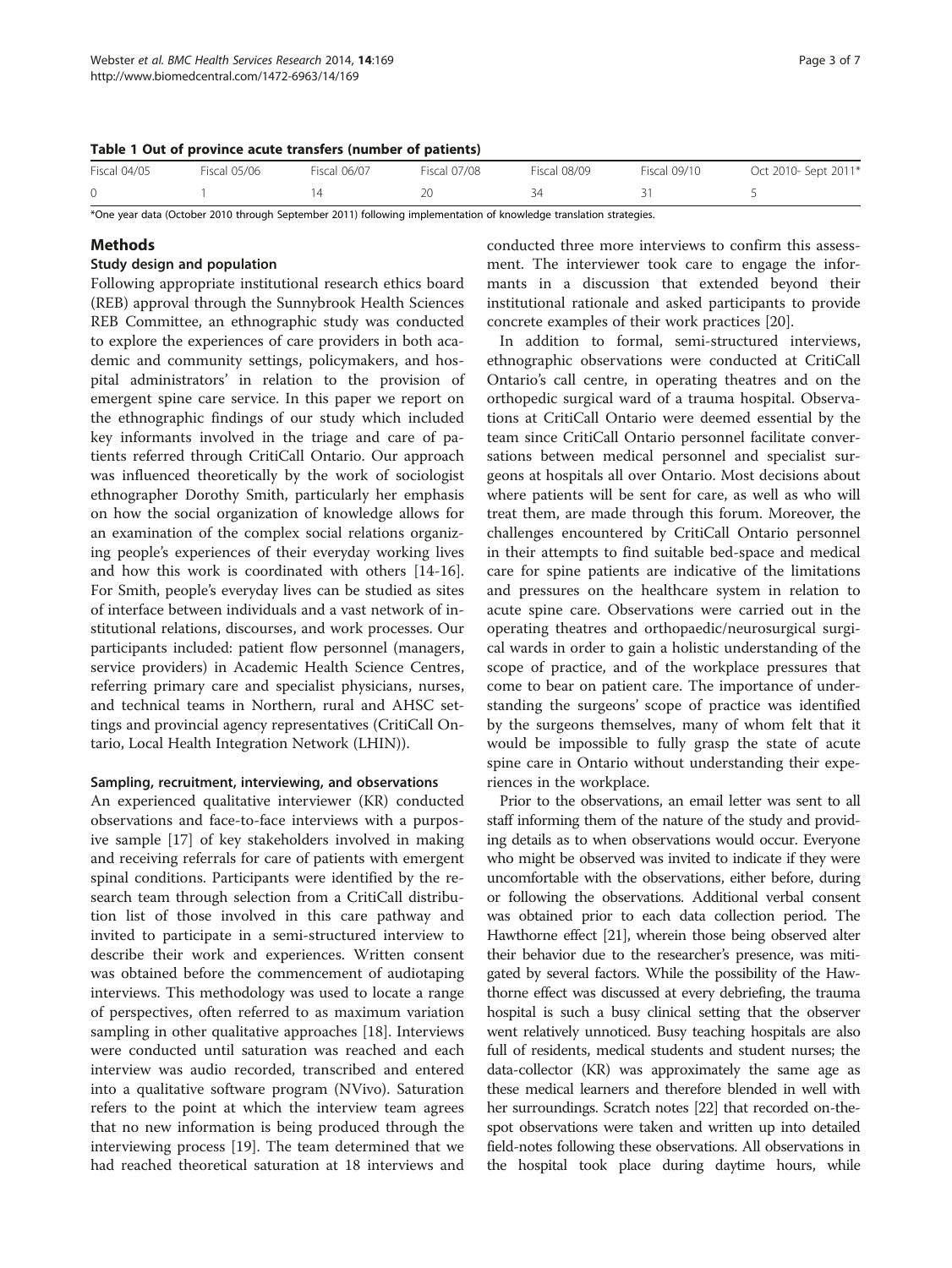| there is the contract the contract contract the contract to permutate ( |              |              |              |              |              |                      |
|-------------------------------------------------------------------------|--------------|--------------|--------------|--------------|--------------|----------------------|
| Fiscal 04/05                                                            | Fiscal 05/06 | Fiscal 06/07 | Fiscal 07/08 | Fiscal 08/09 | Fiscal 09/10 | Oct 2010- Sept 2011* |
|                                                                         |              |              |              |              |              |                      |

#### <span id="page-2-0"></span>Table 1 Out of province acute transfers (number of patients)

\*One year data (October 2010 through September 2011) following implementation of knowledge translation strategies.

## Methods

### Study design and population

Following appropriate institutional research ethics board (REB) approval through the Sunnybrook Health Sciences REB Committee, an ethnographic study was conducted to explore the experiences of care providers in both academic and community settings, policymakers, and hospital administrators' in relation to the provision of emergent spine care service. In this paper we report on the ethnographic findings of our study which included key informants involved in the triage and care of patients referred through CritiCall Ontario. Our approach was influenced theoretically by the work of sociologist ethnographer Dorothy Smith, particularly her emphasis on how the social organization of knowledge allows for an examination of the complex social relations organizing people's experiences of their everyday working lives and how this work is coordinated with others [\[14-16](#page-6-0)]. For Smith, people's everyday lives can be studied as sites of interface between individuals and a vast network of institutional relations, discourses, and work processes. Our participants included: patient flow personnel (managers, service providers) in Academic Health Science Centres, referring primary care and specialist physicians, nurses, and technical teams in Northern, rural and AHSC settings and provincial agency representatives (CritiCall Ontario, Local Health Integration Network (LHIN)).

### Sampling, recruitment, interviewing, and observations

An experienced qualitative interviewer (KR) conducted observations and face-to-face interviews with a purposive sample [\[17\]](#page-6-0) of key stakeholders involved in making and receiving referrals for care of patients with emergent spinal conditions. Participants were identified by the research team through selection from a CritiCall distribution list of those involved in this care pathway and invited to participate in a semi-structured interview to describe their work and experiences. Written consent was obtained before the commencement of audiotaping interviews. This methodology was used to locate a range of perspectives, often referred to as maximum variation sampling in other qualitative approaches [[18\]](#page-6-0). Interviews were conducted until saturation was reached and each interview was audio recorded, transcribed and entered into a qualitative software program (NVivo). Saturation refers to the point at which the interview team agrees that no new information is being produced through the interviewing process [[19\]](#page-6-0). The team determined that we had reached theoretical saturation at 18 interviews and conducted three more interviews to confirm this assessment. The interviewer took care to engage the informants in a discussion that extended beyond their institutional rationale and asked participants to provide concrete examples of their work practices [[20\]](#page-6-0).

In addition to formal, semi-structured interviews, ethnographic observations were conducted at CritiCall Ontario's call centre, in operating theatres and on the orthopedic surgical ward of a trauma hospital. Observations at CritiCall Ontario were deemed essential by the team since CritiCall Ontario personnel facilitate conversations between medical personnel and specialist surgeons at hospitals all over Ontario. Most decisions about where patients will be sent for care, as well as who will treat them, are made through this forum. Moreover, the challenges encountered by CritiCall Ontario personnel in their attempts to find suitable bed-space and medical care for spine patients are indicative of the limitations and pressures on the healthcare system in relation to acute spine care. Observations were carried out in the operating theatres and orthopaedic/neurosurgical surgical wards in order to gain a holistic understanding of the scope of practice, and of the workplace pressures that come to bear on patient care. The importance of understanding the surgeons' scope of practice was identified by the surgeons themselves, many of whom felt that it would be impossible to fully grasp the state of acute spine care in Ontario without understanding their experiences in the workplace.

Prior to the observations, an email letter was sent to all staff informing them of the nature of the study and providing details as to when observations would occur. Everyone who might be observed was invited to indicate if they were uncomfortable with the observations, either before, during or following the observations. Additional verbal consent was obtained prior to each data collection period. The Hawthorne effect [\[21\]](#page-6-0), wherein those being observed alter their behavior due to the researcher's presence, was mitigated by several factors. While the possibility of the Hawthorne effect was discussed at every debriefing, the trauma hospital is such a busy clinical setting that the observer went relatively unnoticed. Busy teaching hospitals are also full of residents, medical students and student nurses; the data-collector (KR) was approximately the same age as these medical learners and therefore blended in well with her surroundings. Scratch notes [\[22\]](#page-6-0) that recorded on-thespot observations were taken and written up into detailed field-notes following these observations. All observations in the hospital took place during daytime hours, while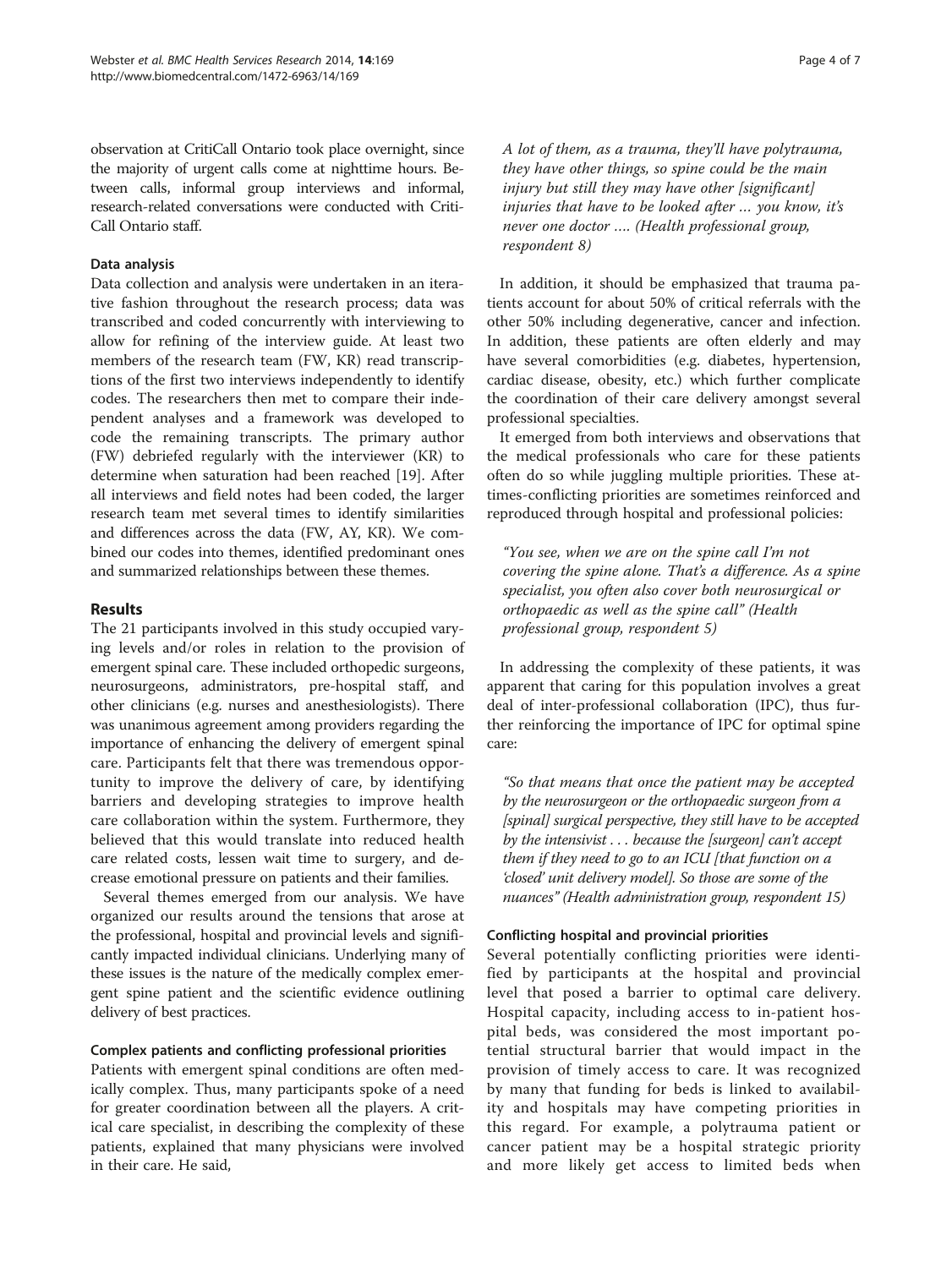observation at CritiCall Ontario took place overnight, since the majority of urgent calls come at nighttime hours. Between calls, informal group interviews and informal, research-related conversations were conducted with Criti-Call Ontario staff.

## Data analysis

Data collection and analysis were undertaken in an iterative fashion throughout the research process; data was transcribed and coded concurrently with interviewing to allow for refining of the interview guide. At least two members of the research team (FW, KR) read transcriptions of the first two interviews independently to identify codes. The researchers then met to compare their independent analyses and a framework was developed to code the remaining transcripts. The primary author (FW) debriefed regularly with the interviewer (KR) to determine when saturation had been reached [[19\]](#page-6-0). After all interviews and field notes had been coded, the larger research team met several times to identify similarities and differences across the data (FW, AY, KR). We combined our codes into themes, identified predominant ones and summarized relationships between these themes.

## Results

The 21 participants involved in this study occupied varying levels and/or roles in relation to the provision of emergent spinal care. These included orthopedic surgeons, neurosurgeons, administrators, pre-hospital staff, and other clinicians (e.g. nurses and anesthesiologists). There was unanimous agreement among providers regarding the importance of enhancing the delivery of emergent spinal care. Participants felt that there was tremendous opportunity to improve the delivery of care, by identifying barriers and developing strategies to improve health care collaboration within the system. Furthermore, they believed that this would translate into reduced health care related costs, lessen wait time to surgery, and decrease emotional pressure on patients and their families.

Several themes emerged from our analysis. We have organized our results around the tensions that arose at the professional, hospital and provincial levels and significantly impacted individual clinicians. Underlying many of these issues is the nature of the medically complex emergent spine patient and the scientific evidence outlining delivery of best practices.

### Complex patients and conflicting professional priorities

Patients with emergent spinal conditions are often medically complex. Thus, many participants spoke of a need for greater coordination between all the players. A critical care specialist, in describing the complexity of these patients, explained that many physicians were involved in their care. He said,

A lot of them, as a trauma, they'll have polytrauma, they have other things, so spine could be the main injury but still they may have other [significant] injuries that have to be looked after … you know, it's never one doctor …. (Health professional group, respondent 8)

In addition, it should be emphasized that trauma patients account for about 50% of critical referrals with the other 50% including degenerative, cancer and infection. In addition, these patients are often elderly and may have several comorbidities (e.g. diabetes, hypertension, cardiac disease, obesity, etc.) which further complicate the coordination of their care delivery amongst several professional specialties.

It emerged from both interviews and observations that the medical professionals who care for these patients often do so while juggling multiple priorities. These attimes-conflicting priorities are sometimes reinforced and reproduced through hospital and professional policies:

"You see, when we are on the spine call I'm not covering the spine alone. That's a difference. As a spine specialist, you often also cover both neurosurgical or orthopaedic as well as the spine call" (Health professional group, respondent 5)

In addressing the complexity of these patients, it was apparent that caring for this population involves a great deal of inter-professional collaboration (IPC), thus further reinforcing the importance of IPC for optimal spine care:

"So that means that once the patient may be accepted by the neurosurgeon or the orthopaedic surgeon from a [spinal] surgical perspective, they still have to be accepted by the intensivist . . . because the [surgeon] can't accept them if they need to go to an ICU [that function on a 'closed' unit delivery model]. So those are some of the nuances" (Health administration group, respondent 15)

### Conflicting hospital and provincial priorities

Several potentially conflicting priorities were identified by participants at the hospital and provincial level that posed a barrier to optimal care delivery. Hospital capacity, including access to in-patient hospital beds, was considered the most important potential structural barrier that would impact in the provision of timely access to care. It was recognized by many that funding for beds is linked to availability and hospitals may have competing priorities in this regard. For example, a polytrauma patient or cancer patient may be a hospital strategic priority and more likely get access to limited beds when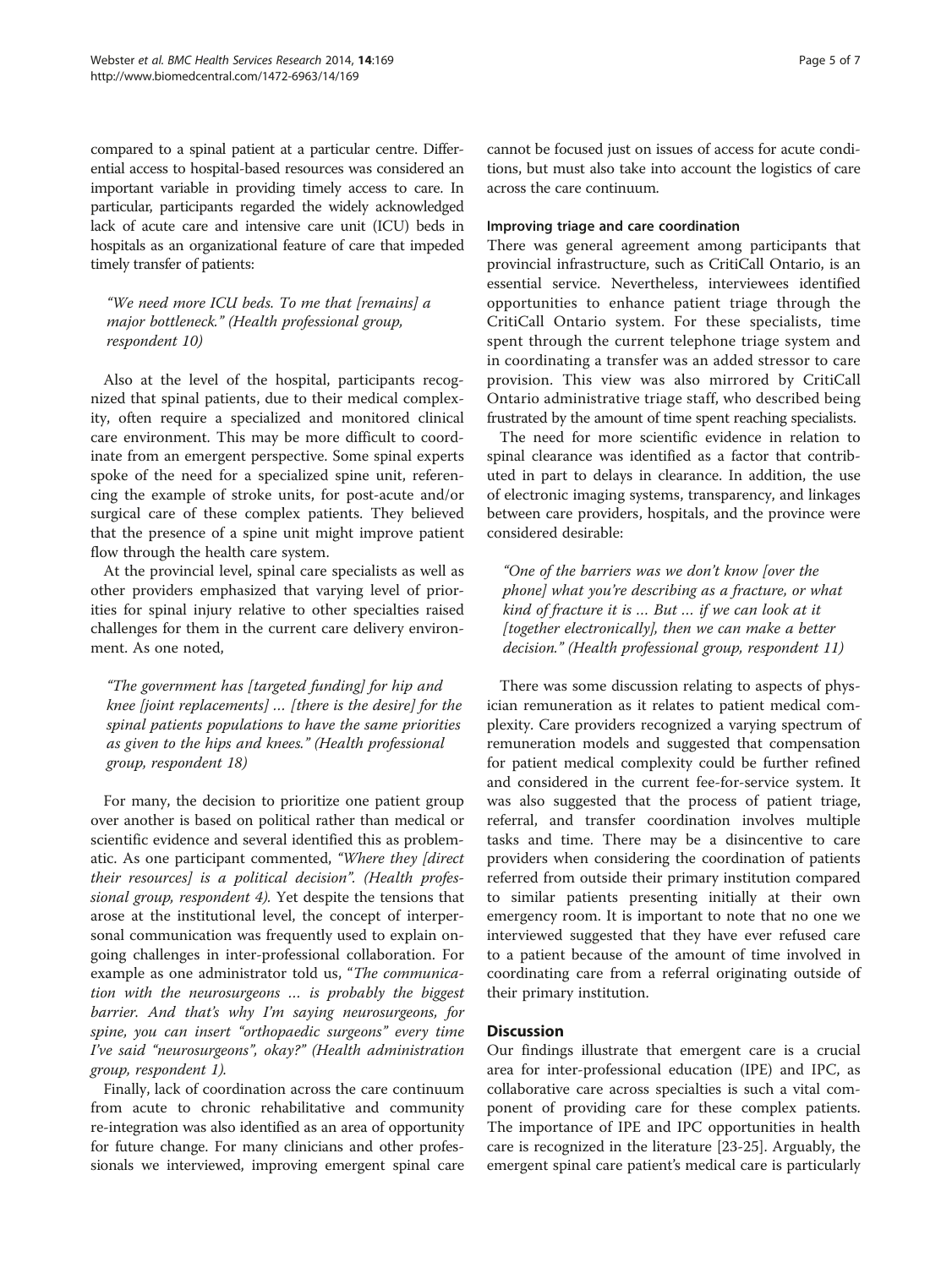compared to a spinal patient at a particular centre. Differential access to hospital-based resources was considered an important variable in providing timely access to care. In particular, participants regarded the widely acknowledged lack of acute care and intensive care unit (ICU) beds in hospitals as an organizational feature of care that impeded timely transfer of patients:

"We need more ICU beds. To me that [remains] a major bottleneck." (Health professional group, respondent 10)

Also at the level of the hospital, participants recognized that spinal patients, due to their medical complexity, often require a specialized and monitored clinical care environment. This may be more difficult to coordinate from an emergent perspective. Some spinal experts spoke of the need for a specialized spine unit, referencing the example of stroke units, for post-acute and/or surgical care of these complex patients. They believed that the presence of a spine unit might improve patient flow through the health care system.

At the provincial level, spinal care specialists as well as other providers emphasized that varying level of priorities for spinal injury relative to other specialties raised challenges for them in the current care delivery environment. As one noted,

"The government has [targeted funding] for hip and knee [joint replacements] … [there is the desire] for the spinal patients populations to have the same priorities as given to the hips and knees." (Health professional group, respondent 18)

For many, the decision to prioritize one patient group over another is based on political rather than medical or scientific evidence and several identified this as problematic. As one participant commented, "Where they [direct their resources] is a political decision". (Health professional group, respondent 4). Yet despite the tensions that arose at the institutional level, the concept of interpersonal communication was frequently used to explain ongoing challenges in inter-professional collaboration. For example as one administrator told us, "The communication with the neurosurgeons … is probably the biggest barrier. And that's why I'm saying neurosurgeons, for spine, you can insert "orthopaedic surgeons" every time I've said "neurosurgeons", okay?" (Health administration group, respondent 1).

Finally, lack of coordination across the care continuum from acute to chronic rehabilitative and community re-integration was also identified as an area of opportunity for future change. For many clinicians and other professionals we interviewed, improving emergent spinal care

cannot be focused just on issues of access for acute conditions, but must also take into account the logistics of care across the care continuum.

#### Improving triage and care coordination

There was general agreement among participants that provincial infrastructure, such as CritiCall Ontario, is an essential service. Nevertheless, interviewees identified opportunities to enhance patient triage through the CritiCall Ontario system. For these specialists, time spent through the current telephone triage system and in coordinating a transfer was an added stressor to care provision. This view was also mirrored by CritiCall Ontario administrative triage staff, who described being frustrated by the amount of time spent reaching specialists.

The need for more scientific evidence in relation to spinal clearance was identified as a factor that contributed in part to delays in clearance. In addition, the use of electronic imaging systems, transparency, and linkages between care providers, hospitals, and the province were considered desirable:

"One of the barriers was we don't know [over the phone] what you're describing as a fracture, or what kind of fracture it is … But … if we can look at it  $[together, electrically]$ , then we can make a better decision." (Health professional group, respondent 11)

There was some discussion relating to aspects of physician remuneration as it relates to patient medical complexity. Care providers recognized a varying spectrum of remuneration models and suggested that compensation for patient medical complexity could be further refined and considered in the current fee-for-service system. It was also suggested that the process of patient triage, referral, and transfer coordination involves multiple tasks and time. There may be a disincentive to care providers when considering the coordination of patients referred from outside their primary institution compared to similar patients presenting initially at their own emergency room. It is important to note that no one we interviewed suggested that they have ever refused care to a patient because of the amount of time involved in coordinating care from a referral originating outside of their primary institution.

## **Discussion**

Our findings illustrate that emergent care is a crucial area for inter-professional education (IPE) and IPC, as collaborative care across specialties is such a vital component of providing care for these complex patients. The importance of IPE and IPC opportunities in health care is recognized in the literature [[23-25](#page-6-0)]. Arguably, the emergent spinal care patient's medical care is particularly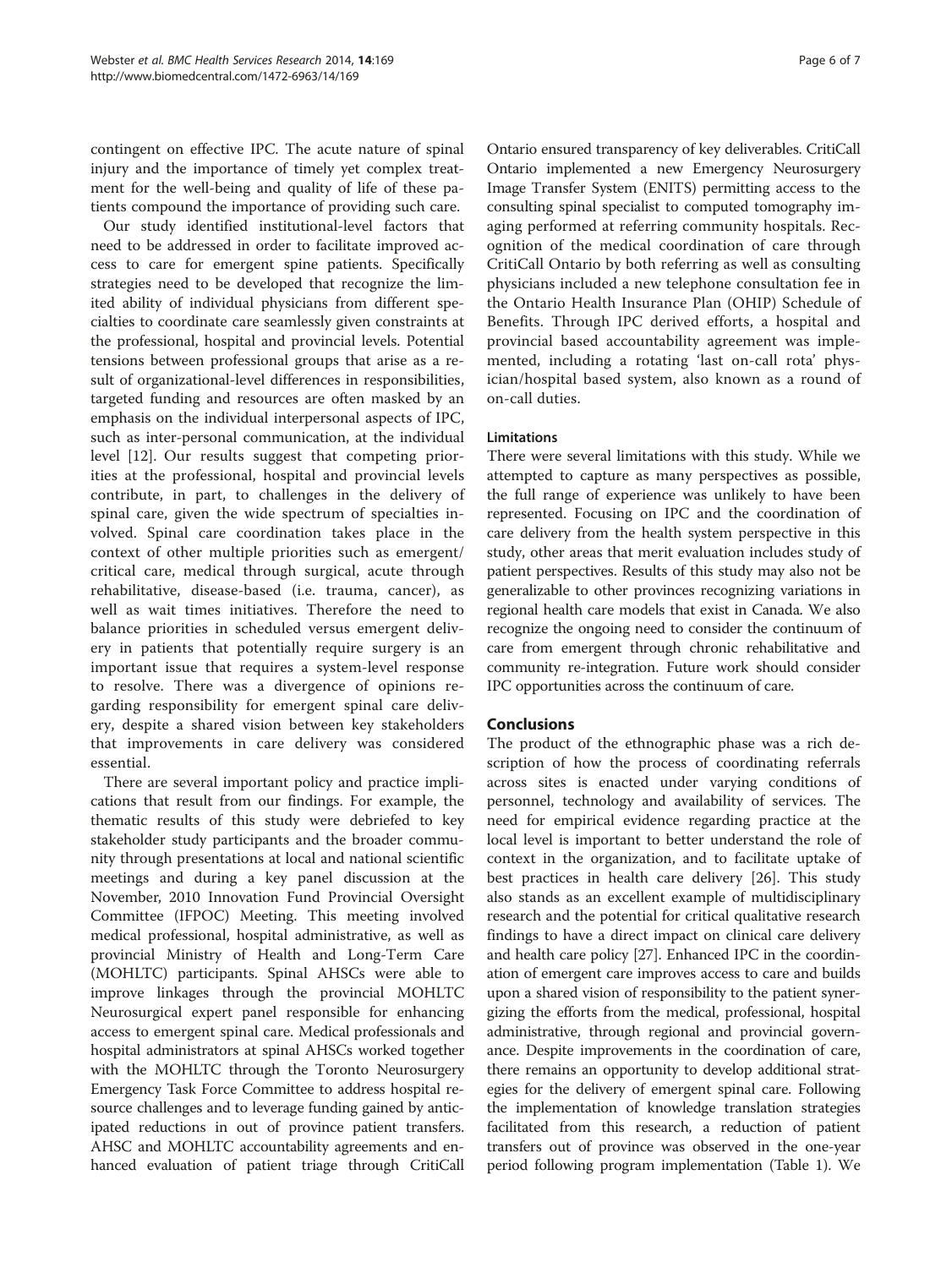contingent on effective IPC. The acute nature of spinal injury and the importance of timely yet complex treatment for the well-being and quality of life of these patients compound the importance of providing such care.

Our study identified institutional-level factors that need to be addressed in order to facilitate improved access to care for emergent spine patients. Specifically strategies need to be developed that recognize the limited ability of individual physicians from different specialties to coordinate care seamlessly given constraints at the professional, hospital and provincial levels. Potential tensions between professional groups that arise as a result of organizational-level differences in responsibilities, targeted funding and resources are often masked by an emphasis on the individual interpersonal aspects of IPC, such as inter-personal communication, at the individual level [[12\]](#page-6-0). Our results suggest that competing priorities at the professional, hospital and provincial levels contribute, in part, to challenges in the delivery of spinal care, given the wide spectrum of specialties involved. Spinal care coordination takes place in the context of other multiple priorities such as emergent/ critical care, medical through surgical, acute through rehabilitative, disease-based (i.e. trauma, cancer), as well as wait times initiatives. Therefore the need to balance priorities in scheduled versus emergent delivery in patients that potentially require surgery is an important issue that requires a system-level response to resolve. There was a divergence of opinions regarding responsibility for emergent spinal care delivery, despite a shared vision between key stakeholders that improvements in care delivery was considered essential.

There are several important policy and practice implications that result from our findings. For example, the thematic results of this study were debriefed to key stakeholder study participants and the broader community through presentations at local and national scientific meetings and during a key panel discussion at the November, 2010 Innovation Fund Provincial Oversight Committee (IFPOC) Meeting. This meeting involved medical professional, hospital administrative, as well as provincial Ministry of Health and Long-Term Care (MOHLTC) participants. Spinal AHSCs were able to improve linkages through the provincial MOHLTC Neurosurgical expert panel responsible for enhancing access to emergent spinal care. Medical professionals and hospital administrators at spinal AHSCs worked together with the MOHLTC through the Toronto Neurosurgery Emergency Task Force Committee to address hospital resource challenges and to leverage funding gained by anticipated reductions in out of province patient transfers. AHSC and MOHLTC accountability agreements and enhanced evaluation of patient triage through CritiCall Ontario ensured transparency of key deliverables. CritiCall Ontario implemented a new Emergency Neurosurgery Image Transfer System (ENITS) permitting access to the consulting spinal specialist to computed tomography imaging performed at referring community hospitals. Recognition of the medical coordination of care through CritiCall Ontario by both referring as well as consulting physicians included a new telephone consultation fee in the Ontario Health Insurance Plan (OHIP) Schedule of Benefits. Through IPC derived efforts, a hospital and provincial based accountability agreement was implemented, including a rotating 'last on-call rota' physician/hospital based system, also known as a round of on-call duties.

## **Limitations**

There were several limitations with this study. While we attempted to capture as many perspectives as possible, the full range of experience was unlikely to have been represented. Focusing on IPC and the coordination of care delivery from the health system perspective in this study, other areas that merit evaluation includes study of patient perspectives. Results of this study may also not be generalizable to other provinces recognizing variations in regional health care models that exist in Canada. We also recognize the ongoing need to consider the continuum of care from emergent through chronic rehabilitative and community re-integration. Future work should consider IPC opportunities across the continuum of care.

## Conclusions

The product of the ethnographic phase was a rich description of how the process of coordinating referrals across sites is enacted under varying conditions of personnel, technology and availability of services. The need for empirical evidence regarding practice at the local level is important to better understand the role of context in the organization, and to facilitate uptake of best practices in health care delivery [\[26\]](#page-6-0). This study also stands as an excellent example of multidisciplinary research and the potential for critical qualitative research findings to have a direct impact on clinical care delivery and health care policy [\[27](#page-6-0)]. Enhanced IPC in the coordination of emergent care improves access to care and builds upon a shared vision of responsibility to the patient synergizing the efforts from the medical, professional, hospital administrative, through regional and provincial governance. Despite improvements in the coordination of care, there remains an opportunity to develop additional strategies for the delivery of emergent spinal care. Following the implementation of knowledge translation strategies facilitated from this research, a reduction of patient transfers out of province was observed in the one-year period following program implementation (Table [1](#page-2-0)). We